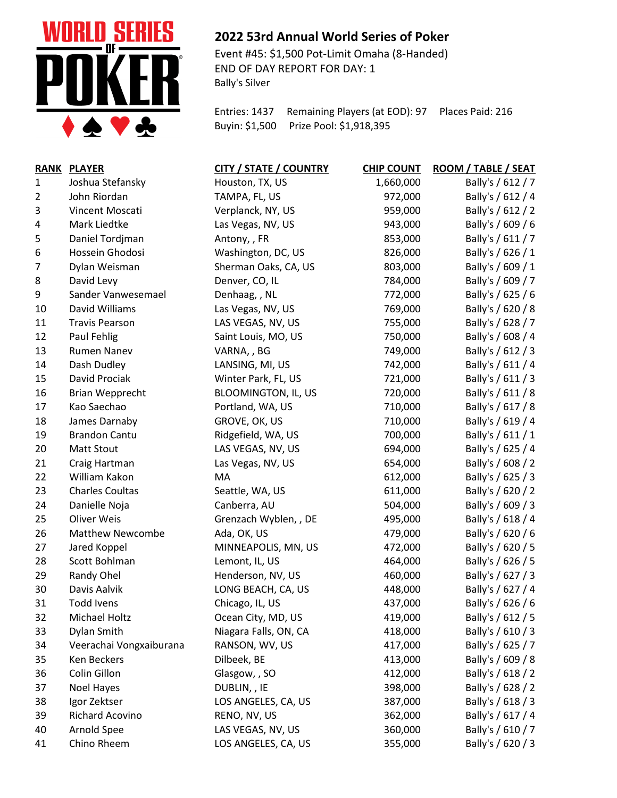

## **2022 53rd Annual World Series of Poker**

Event #45: \$1,500 Pot-Limit Omaha (8-Handed) END OF DAY REPORT FOR DAY: 1 Bally's Silver

Entries: 1437 Remaining Players (at EOD): 97 Places Paid: 216 Buyin: \$1,500 Prize Pool: \$1,918,395

| <b>RANK</b>    | <b>PLAYER</b>           | <b>CITY / STATE / COUNTRY</b> | <b>CHIP COUNT</b> | ROOM / TABLE / SEAT |
|----------------|-------------------------|-------------------------------|-------------------|---------------------|
| $\mathbf{1}$   | Joshua Stefansky        | Houston, TX, US               | 1,660,000         | Bally's / 612 / 7   |
| $\overline{2}$ | John Riordan            | TAMPA, FL, US                 | 972,000           | Bally's / 612 / 4   |
| 3              | Vincent Moscati         | Verplanck, NY, US             | 959,000           | Bally's / 612 / 2   |
| 4              | Mark Liedtke            | Las Vegas, NV, US             | 943,000           | Bally's / 609 / 6   |
| 5              | Daniel Tordjman         | Antony, , FR                  | 853,000           | Bally's / 611 / 7   |
| 6              | Hossein Ghodosi         | Washington, DC, US            | 826,000           | Bally's / 626 / 1   |
| 7              | Dylan Weisman           | Sherman Oaks, CA, US          | 803,000           | Bally's / 609 / 1   |
| 8              | David Levy              | Denver, CO, IL                | 784,000           | Bally's / 609 / 7   |
| 9              | Sander Vanwesemael      | Denhaag, , NL                 | 772,000           | Bally's / 625 / 6   |
| 10             | David Williams          | Las Vegas, NV, US             | 769,000           | Bally's / 620 / 8   |
| 11             | <b>Travis Pearson</b>   | LAS VEGAS, NV, US             | 755,000           | Bally's / 628 / 7   |
| 12             | Paul Fehlig             | Saint Louis, MO, US           | 750,000           | Bally's / 608 / 4   |
| 13             | <b>Rumen Nanev</b>      | VARNA,, BG                    | 749,000           | Bally's / 612 / 3   |
| 14             | Dash Dudley             | LANSING, MI, US               | 742,000           | Bally's / 611 / 4   |
| 15             | David Prociak           | Winter Park, FL, US           | 721,000           | Bally's / 611 / 3   |
| 16             | <b>Brian Wepprecht</b>  | <b>BLOOMINGTON, IL, US</b>    | 720,000           | Bally's / 611 / 8   |
| 17             | Kao Saechao             | Portland, WA, US              | 710,000           | Bally's / 617 / 8   |
| 18             | James Darnaby           | GROVE, OK, US                 | 710,000           | Bally's / 619 / 4   |
| 19             | <b>Brandon Cantu</b>    | Ridgefield, WA, US            | 700,000           | Bally's / 611 / 1   |
| 20             | Matt Stout              | LAS VEGAS, NV, US             | 694,000           | Bally's / 625 / 4   |
| 21             | Craig Hartman           | Las Vegas, NV, US             | 654,000           | Bally's / 608 / 2   |
| 22             | William Kakon           | MA                            | 612,000           | Bally's / 625 / 3   |
| 23             | <b>Charles Coultas</b>  | Seattle, WA, US               | 611,000           | Bally's / 620 / 2   |
| 24             | Danielle Noja           | Canberra, AU                  | 504,000           | Bally's / 609 / 3   |
| 25             | Oliver Weis             | Grenzach Wyblen, , DE         | 495,000           | Bally's / 618 / 4   |
| 26             | <b>Matthew Newcombe</b> | Ada, OK, US                   | 479,000           | Bally's / 620 / 6   |
| 27             | Jared Koppel            | MINNEAPOLIS, MN, US           | 472,000           | Bally's / 620 / 5   |
| 28             | Scott Bohlman           | Lemont, IL, US                | 464,000           | Bally's / 626 / 5   |
| 29             | Randy Ohel              | Henderson, NV, US             | 460,000           | Bally's / 627 / 3   |
| 30             | Davis Aalvik            | LONG BEACH, CA, US            | 448,000           | Bally's / 627 / 4   |
| 31             | <b>Todd Ivens</b>       | Chicago, IL, US               | 437,000           | Bally's / 626 / 6   |
| 32             | Michael Holtz           | Ocean City, MD, US            | 419,000           | Bally's / 612 / 5   |
| 33             | Dylan Smith             | Niagara Falls, ON, CA         | 418,000           | Bally's / 610 / 3   |
| 34             | Veerachai Vongxaiburana | RANSON, WV, US                | 417,000           | Bally's / 625 / 7   |
| 35             | Ken Beckers             | Dilbeek, BE                   | 413,000           | Bally's / 609 / 8   |
| 36             | Colin Gillon            | Glasgow, , SO                 | 412,000           | Bally's / 618 / 2   |
| 37             | <b>Noel Hayes</b>       | DUBLIN, , IE                  | 398,000           | Bally's / 628 / 2   |
| 38             | Igor Zektser            | LOS ANGELES, CA, US           | 387,000           | Bally's / 618 / 3   |
| 39             | Richard Acovino         | RENO, NV, US                  | 362,000           | Bally's / 617 / 4   |
| 40             | Arnold Spee             | LAS VEGAS, NV, US             | 360,000           | Bally's / 610 / 7   |
| 41             | Chino Rheem             | LOS ANGELES, CA, US           | 355,000           | Bally's / 620 / 3   |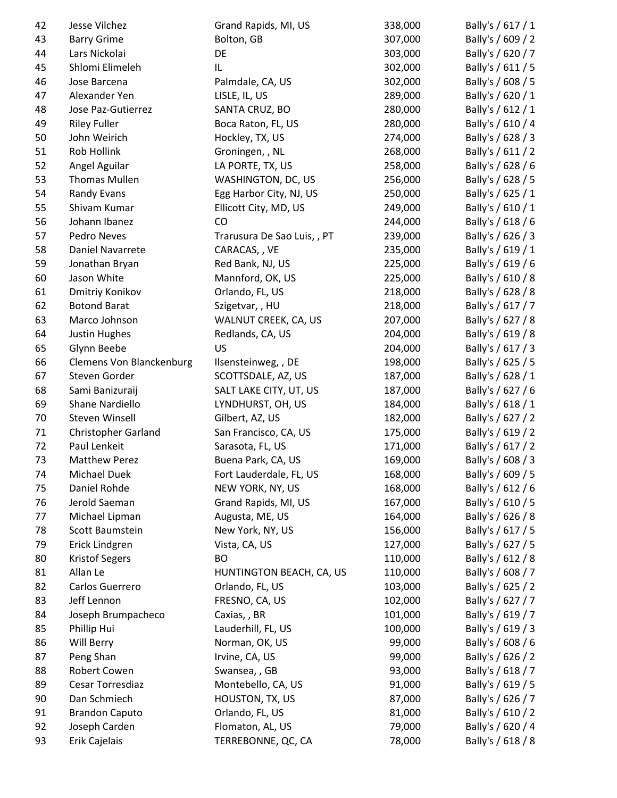| 42 | Jesse Vilchez                   | Grand Rapids, MI, US        | 338,000 | Bally's / 617 / 1 |
|----|---------------------------------|-----------------------------|---------|-------------------|
| 43 | <b>Barry Grime</b>              | Bolton, GB                  | 307,000 | Bally's / 609 / 2 |
| 44 | Lars Nickolai                   | DE                          | 303,000 | Bally's / 620 / 7 |
| 45 | Shlomi Elimeleh                 | IL.                         | 302,000 | Bally's / 611 / 5 |
| 46 | Jose Barcena                    | Palmdale, CA, US            | 302,000 | Bally's / 608 / 5 |
| 47 | Alexander Yen                   | LISLE, IL, US               | 289,000 | Bally's / 620 / 1 |
| 48 | Jose Paz-Gutierrez              | SANTA CRUZ, BO              | 280,000 | Bally's / 612 / 1 |
| 49 | <b>Riley Fuller</b>             | Boca Raton, FL, US          | 280,000 | Bally's / 610 / 4 |
| 50 | John Weirich                    | Hockley, TX, US             | 274,000 | Bally's / 628 / 3 |
| 51 | Rob Hollink                     | Groningen, , NL             | 268,000 | Bally's / 611 / 2 |
| 52 | Angel Aguilar                   | LA PORTE, TX, US            | 258,000 | Bally's / 628 / 6 |
| 53 | <b>Thomas Mullen</b>            | WASHINGTON, DC, US          | 256,000 | Bally's / 628 / 5 |
| 54 | Randy Evans                     | Egg Harbor City, NJ, US     | 250,000 | Bally's / 625 / 1 |
| 55 | Shivam Kumar                    | Ellicott City, MD, US       | 249,000 | Bally's / 610 / 1 |
| 56 | Johann Ibanez                   | CO                          | 244,000 | Bally's / 618 / 6 |
| 57 | Pedro Neves                     | Trarusura De Sao Luis, , PT | 239,000 | Bally's / 626 / 3 |
| 58 | Daniel Navarrete                | CARACAS, , VE               | 235,000 | Bally's / 619 / 1 |
| 59 | Jonathan Bryan                  | Red Bank, NJ, US            | 225,000 | Bally's / 619 / 6 |
| 60 | Jason White                     | Mannford, OK, US            | 225,000 | Bally's / 610 / 8 |
| 61 | Dmitriy Konikov                 | Orlando, FL, US             | 218,000 | Bally's / 628 / 8 |
| 62 | <b>Botond Barat</b>             | Szigetvar,, HU              | 218,000 | Bally's / 617 / 7 |
| 63 | Marco Johnson                   | WALNUT CREEK, CA, US        | 207,000 | Bally's / 627 / 8 |
| 64 | Justin Hughes                   | Redlands, CA, US            | 204,000 | Bally's / 619 / 8 |
| 65 | Glynn Beebe                     | US                          | 204,000 | Bally's / 617 / 3 |
| 66 | <b>Clemens Von Blanckenburg</b> | Ilsensteinweg, , DE         | 198,000 | Bally's / 625 / 5 |
| 67 | Steven Gorder                   | SCOTTSDALE, AZ, US          | 187,000 | Bally's / 628 / 1 |
| 68 | Sami Banizuraij                 | SALT LAKE CITY, UT, US      | 187,000 | Bally's / 627 / 6 |
| 69 | Shane Nardiello                 | LYNDHURST, OH, US           | 184,000 | Bally's / 618 / 1 |
| 70 | Steven Winsell                  | Gilbert, AZ, US             | 182,000 | Bally's / 627 / 2 |
| 71 | <b>Christopher Garland</b>      | San Francisco, CA, US       | 175,000 | Bally's / 619 / 2 |
| 72 | Paul Lenkeit                    | Sarasota, FL, US            | 171,000 | Bally's / 617 / 2 |
| 73 | <b>Matthew Perez</b>            | Buena Park, CA, US          | 169,000 | Bally's / 608 / 3 |
| 74 | Michael Duek                    | Fort Lauderdale, FL, US     | 168,000 | Bally's / 609 / 5 |
| 75 | Daniel Rohde                    | NEW YORK, NY, US            | 168,000 | Bally's / 612 / 6 |
| 76 | Jerold Saeman                   | Grand Rapids, MI, US        | 167,000 | Bally's / 610 / 5 |
| 77 | Michael Lipman                  | Augusta, ME, US             | 164,000 | Bally's / 626 / 8 |
| 78 | Scott Baumstein                 | New York, NY, US            | 156,000 | Bally's / 617 / 5 |
| 79 | Erick Lindgren                  | Vista, CA, US               | 127,000 | Bally's / 627 / 5 |
| 80 | <b>Kristof Segers</b>           | <b>BO</b>                   | 110,000 | Bally's / 612 / 8 |
| 81 | Allan Le                        | HUNTINGTON BEACH, CA, US    | 110,000 | Bally's / 608 / 7 |
| 82 | Carlos Guerrero                 | Orlando, FL, US             | 103,000 | Bally's / 625 / 2 |
| 83 | Jeff Lennon                     | FRESNO, CA, US              | 102,000 | Bally's / 627 / 7 |
| 84 | Joseph Brumpacheco              | Caxias, , BR                | 101,000 | Bally's / 619 / 7 |
| 85 | Phillip Hui                     | Lauderhill, FL, US          | 100,000 | Bally's / 619 / 3 |
| 86 | Will Berry                      | Norman, OK, US              | 99,000  | Bally's / 608 / 6 |
| 87 | Peng Shan                       | Irvine, CA, US              | 99,000  | Bally's / 626 / 2 |
| 88 | Robert Cowen                    | Swansea, , GB               | 93,000  | Bally's / 618 / 7 |
| 89 | Cesar Torresdiaz                | Montebello, CA, US          | 91,000  | Bally's / 619 / 5 |
| 90 | Dan Schmiech                    | HOUSTON, TX, US             | 87,000  | Bally's / 626 / 7 |
| 91 | <b>Brandon Caputo</b>           | Orlando, FL, US             | 81,000  | Bally's / 610 / 2 |
| 92 | Joseph Carden                   | Flomaton, AL, US            | 79,000  | Bally's / 620 / 4 |
| 93 | Erik Cajelais                   | TERREBONNE, QC, CA          | 78,000  | Bally's / 618 / 8 |
|    |                                 |                             |         |                   |